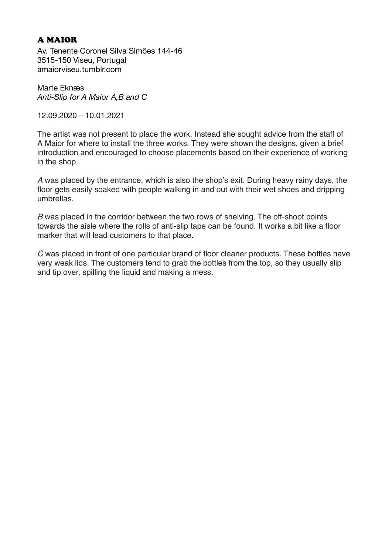## A MAIOR

Av. Tenente Coronel Silva Simões 144-46 3515-150 Viseu, Portugal [amaiorviseu.tumblr.com](http://amaiorviseu.tumblr.com)

Marte Eknæs *Anti-Slip for A Maior A,B and C* 

12.09.2020 – 10.01.2021

The artist was not present to place the work. Instead she sought advice from the staff of A Maior for where to install the three works. They were shown the designs, given a brief introduction and encouraged to choose placements based on their experience of working in the shop.

*A* was placed by the entrance, which is also the shop's exit. During heavy rainy days, the floor gets easily soaked with people walking in and out with their wet shoes and dripping umbrellas.

*B* was placed in the corridor between the two rows of shelving. The off-shoot points towards the aisle where the rolls of anti-slip tape can be found. It works a bit like a floor marker that will lead customers to that place.

*C* was placed in front of one particular brand of floor cleaner products. These bottles have very weak lids. The customers tend to grab the bottles from the top, so they usually slip and tip over, spilling the liquid and making a mess.